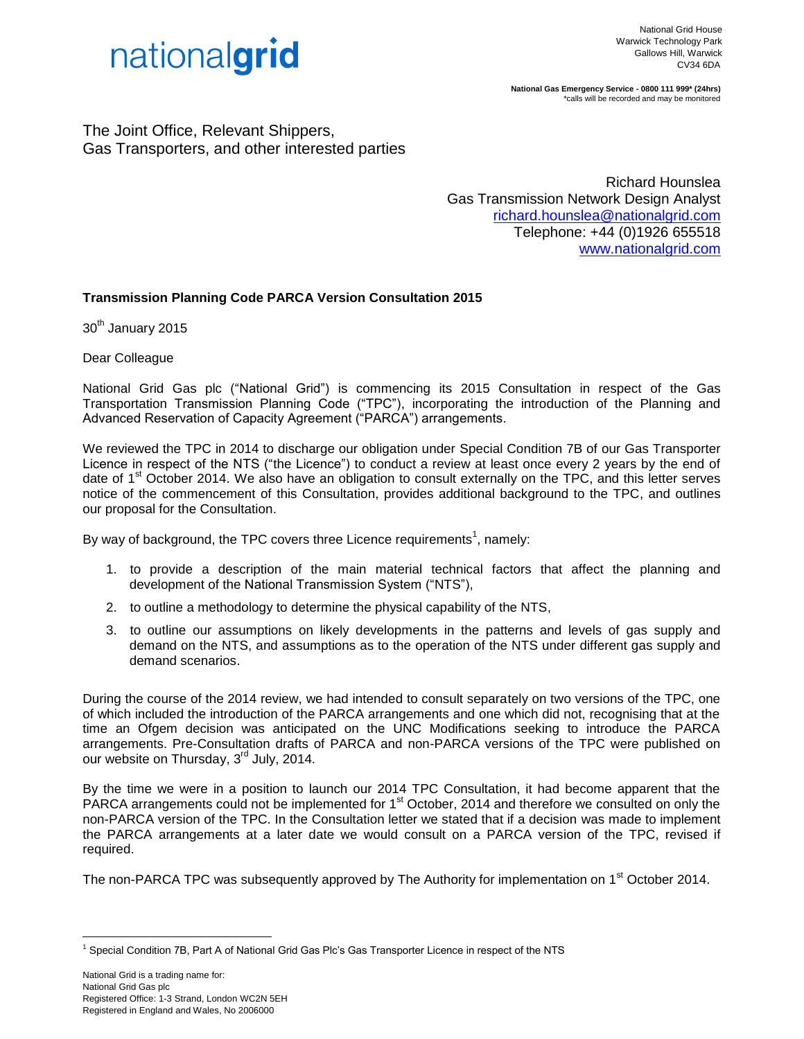

**National Gas Emergency Service - 0800 111 999\* (24hrs)** \*calls will be recorded and may be monitored

The Joint Office, Relevant Shippers, Gas Transporters, and other interested parties

> Richard Hounslea Gas Transmission Network Design Analyst [richard.hounslea@nationalgrid.com](mailto:deepak.mistry@nationalgrid.com) Telephone: +44 (0)1926 655518 [www.nationalgrid.com](http://www.nationalgrid.com/)

## **Transmission Planning Code PARCA Version Consultation 2015**

30<sup>th</sup> January 2015

Dear Colleague

National Grid Gas plc ("National Grid") is commencing its 2015 Consultation in respect of the Gas Transportation Transmission Planning Code ("TPC"), incorporating the introduction of the Planning and Advanced Reservation of Capacity Agreement ("PARCA") arrangements.

We reviewed the TPC in 2014 to discharge our obligation under Special Condition 7B of our Gas Transporter Licence in respect of the NTS ("the Licence") to conduct a review at least once every 2 years by the end of date of 1<sup>st</sup> October 2014. We also have an obligation to consult externally on the TPC, and this letter serves notice of the commencement of this Consultation, provides additional background to the TPC, and outlines our proposal for the Consultation.

By way of background, the TPC covers three Licence requirements<sup>1</sup>, namely:

- 1. to provide a description of the main material technical factors that affect the planning and development of the National Transmission System ("NTS"),
- 2. to outline a methodology to determine the physical capability of the NTS,
- 3. to outline our assumptions on likely developments in the patterns and levels of gas supply and demand on the NTS, and assumptions as to the operation of the NTS under different gas supply and demand scenarios.

During the course of the 2014 review, we had intended to consult separately on two versions of the TPC, one of which included the introduction of the PARCA arrangements and one which did not, recognising that at the time an Ofgem decision was anticipated on the UNC Modifications seeking to introduce the PARCA arrangements. Pre-Consultation drafts of PARCA and non-PARCA versions of the TPC were published on our website on Thursday, 3<sup>rd</sup> July, 2014.

By the time we were in a position to launch our 2014 TPC Consultation, it had become apparent that the PARCA arrangements could not be implemented for 1<sup>st</sup> October, 2014 and therefore we consulted on only the non-PARCA version of the TPC. In the Consultation letter we stated that if a decision was made to implement the PARCA arrangements at a later date we would consult on a PARCA version of the TPC, revised if required.

The non-PARCA TPC was subsequently approved by The Authority for implementation on 1<sup>st</sup> October 2014.

<u>.</u>

<sup>1</sup> Special Condition 7B, Part A of National Grid Gas Plc's Gas Transporter Licence in respect of the NTS